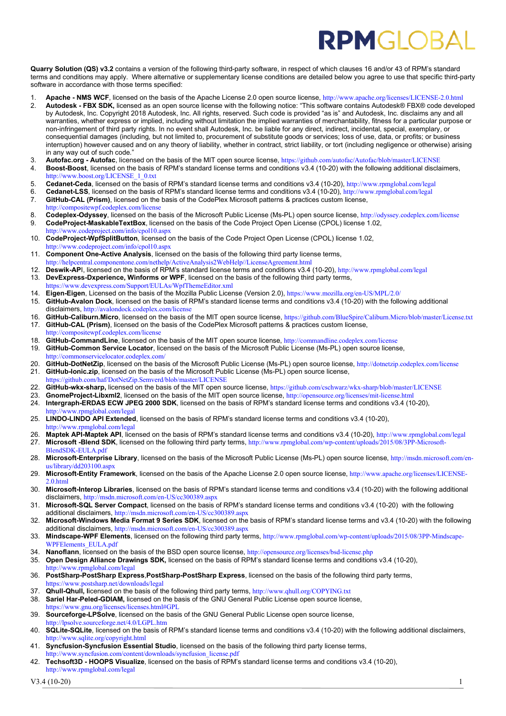## **RPMGIOBA**

**Quarry Solution (QS) v3.2** contains a version of the following third-party software, in respect of which clauses 16 and/or 43 of RPM's standard terms and conditions may apply. Where alternative or supplementary license conditions are detailed below you agree to use that specific third-party software in accordance with those terms specified:

- 1. **Apache NMS WCF**, licensed on the basis of the Apache License 2.0 open source license, <http://www.apache.org/licenses/LICENSE-2.0.html><br>2. **Autodesk FBX SDK**, licensed as an open source license with the following not
- 2. **Autodesk - FBX SDK,** licensed as an open source license with the following notice: "This software contains Autodesk® FBX® code developed by Autodesk, Inc. Copyright 2018 Autodesk, Inc. All rights, reserved. Such code is provided "as is" and Autodesk, Inc. disclaims any and all warranties, whether express or implied, including without limitation the implied warranties of merchantability, fitness for a particular purpose or non-infringement of third party rights. In no event shall Autodesk, Inc. be liable for any direct, indirect, incidental, special, exemplary, or consequential damages (including, but not limited to, procurement of substitute goods or services; loss of use, data, or profits; or business interruption) however caused and on any theory of liability, whether in contract, strict liability, or tort (including negligence or otherwise) arising in any way out of such code."
- 3. **Autofac.org - Autofac**, licensed on the basis of the MIT open source license, <https://github.com/autofac/Autofac/blob/master/LICENSE>
- 4. **Boost-Boost**, licensed on the basis of RPM's standard license terms and conditions v3.4 (10-20) with the following additional disclaimers, [http://www.boost.org/LICENSE\\_1\\_0.txt](http://www.boost.org/LICENSE_1_0.txt)
- 5. **Cedanet-Ceda**, licensed on the basis of RPM's standard license terms and conditions v3.4 (10-20), <http://www.rpmglobal.com/legal>
- 6. **Cedanet-LSS**, licensed on the basis of RPM's standard license terms and conditions v3.4 (10-20), <http://www.rpmglobal.com/legal> 7. **GitHub-CAL (Prism)**. licensed on the basis of the CodePlex Microsoft patterns & pract
- 7. **GitHub-CAL (Prism)**, licensed on the basis of the CodePlex Microsoft patterns & practices custom license,
- <http://compositewpf.codeplex.com/license>
- 8. **Codeplex-Odyssey**, licensed on the basis of the Microsoft Public License (Ms-PL) open source license, <http://odyssey.codeplex.com/license>
- 9. **CodeProject-MaskableTextBox**, licensed on the basis of the Code Project Open License (CPOL) license 1.02, <http://www.codeproject.com/info/cpol10.aspx>
- 10. **CodeProject-WpfSplitButton**, licensed on the basis of the Code Project Open License (CPOL) license 1.02, <http://www.codeproject.com/info/cpol10.aspx>
- 11. **Component One-Active Analysis**, licensed on the basis of the following third party license terms,
- [http://helpcentral.componentone.com/nethelp/ActiveAnalysis2WebHelp//LicenseAgreement.html](http://helpcentral.componentone.com/nethelp/ActiveAnalysis2WebHelp/LicenseAgreement.html)
- 12. **Deswik-AP**I, licensed on the basis of RPM's standard license terms and conditions v3.4 (10-20), <http://www.rpmglobal.com/legal> 13. **DevExpress-Dxperience, Winforms or WPF**, licensed on the basis of the following third party terms, <https://www.devexpress.com/Support/EULAs/WpfThemeEditor.xml>
- 14. **Eigen-Eigen**, Licensed on the basis of the Mozilla Public License (Version 2.0), <https://www.mozilla.org/en-US/MPL/2.0/>
- 15. **GitHub-Avalon Dock**, licensed on the basis of RPM's standard license terms and conditions v3.4 (10-20) with the following additional disclaimers, <http://avalondock.codeplex.com/license>
- 16. **GitHub-Caliburn.Micro**, licensed on the basis of the MIT open source license, <https://github.com/BlueSpire/Caliburn.Micro/blob/master/License.txt> 17. **GitHub-CAL (Prism)**, licensed on the basis of the CodePlex Microsoft patterns & practices custom license,
- <http://compositewpf.codeplex.com/license>
- 18. **GitHub-CommandLine**, licensed on the basis of the MIT open source license, <http://commandline.codeplex.com/license><br>19. **GitHub-Common Service Locator**, licensed on the basis of the Microsoft Public License (Ms-PL) ope 19. **GitHub-Common Service Locator**, licensed on the basis of the Microsoft Public License (Ms-PL) open source license, <http://commonservicelocator.codeplex.com/>
- 20. **GitHub-DotNetZip**, licensed on the basis of the Microsoft Public License (Ms-PL) open source license, <http://dotnetzip.codeplex.com/license> 21. **GitHub-Ionic.zip**, licensed on the basis of the Microsoft Public License (Ms-PL) open source license,
- <https://github.com/haf/DotNetZip.Semverd/blob/master/LICENSE>
- 
- 22. **GitHub-wkx-sharp,** licensed on the basis of the MIT open source license, <https://github.com/cschwarz/wkx-sharp/blob/master/LICENSE><br>23. **GnomeProiect-Libxml2**, licensed on the basis of the MIT open source license, http GnomeProject-Libxml2, licensed on the basis of the MIT open source license, <http://opensource.org/licenses/mit-license.html>
- 24. **Intergraph-ERDAS ECW JPEG 2000 SDK**, licensed on the basis of RPM's standard license terms and conditions v3.4 (10-20), <http://www.rpmglobal.com/legal>
- 25. **LINDO-LINDO API Extended**, licensed on the basis of RPM's standard license terms and conditions v3.4 (10-20), <http://www.rpmglobal.com/legal>
- 26. **Maptek API-Maptek API**, licensed on the basis of RPM's standard license terms and conditions v3.4 (10-20), <http://www.rpmglobal.com/legal>
- 27. **Microsoft -Blend SDK**, licensed on the following third party terms, [http://www.rpmglobal.com/wp-content/uploads/2015/08/3PP-Microsoft-](http://www.rpmglobal.com/wp-content/uploads/2015/08/3PP-Microsoft-BlendSDK-EULA.pdf)[BlendSDK-EULA.pdf](http://www.rpmglobal.com/wp-content/uploads/2015/08/3PP-Microsoft-BlendSDK-EULA.pdf)
- 28. **Microsoft-Enterprise Library**, licensed on the basis of the Microsoft Public License (Ms-PL) open source license, [http://msdn.microsoft.com/en](http://msdn.microsoft.com/en-us/library/dd203100.aspx)[us/library/dd203100.aspx](http://msdn.microsoft.com/en-us/library/dd203100.aspx)
- 29. **Microsoft-Entity Framework**, licensed on the basis of the Apache License 2.0 open source license, [http://www.apache.org/licenses/LICENSE-](http://www.apache.org/licenses/LICENSE-2.0.html)[2.0.html](http://www.apache.org/licenses/LICENSE-2.0.html)
- 30. **Microsoft-Interop Libraries**, licensed on the basis of RPM's standard license terms and conditions v3.4 (10-20) with the following additional disclaimers, <http://msdn.microsoft.com/en-US/cc300389.aspx>
- 31. **Microsoft-SQL Server Compact**, licensed on the basis of RPM's standard license terms and conditions v3.4 (10-20) with the following additional disclaimers, <http://msdn.microsoft.com/en-US/cc300389.aspx>
- 32. **Microsoft-Windows Media Format 9 Series SDK**, licensed on the basis of RPM's standard license terms and v3.4 (10-20) with the following additional disclaimers, <http://msdn.microsoft.com/en-US/cc300389.aspx>
- 33. **Mindscape-WPF Elements**, licensed on the following third party terms, [http://www.rpmglobal.com/wp-content/uploads/2015/08/3PP-Mindscape-](http://www.rpmglobal.com/wp-content/uploads/2015/08/3PP-Mindscape-WPFElements_EULA.pdf)[WPFElements\\_EULA.pdf](http://www.rpmglobal.com/wp-content/uploads/2015/08/3PP-Mindscape-WPFElements_EULA.pdf)
- 34. **Nanoflann**, licensed on the basis of the BSD open source license, <http://opensource.org/licenses/bsd-license.php>
- 35. **Open Design Alliance Drawings SDK,** licensed on the basis of RPM's standard license terms and conditions v3.4 (10-20),
- <http://www.rpmglobal.com/legal> 36. **PostSharp-PostSharp Express**,**PostSharp-PostSharp Express**, licensed on the basis of the following third party terms, <https://www.postsharp.net/downloads/legal>
- 37. **Qhull-Qhull, l**icensed on the basis of the following third party terms, <http://www.qhull.org/COPYING.txt>
- 38. **Sariel Har-Peled-GDIAM,** licensed on the basis of the GNU General Public License open source license, <https://www.gnu.org/licenses/licenses.html#GPL>
- 39. **Sourceforge-LPSolve**, licensed on the basis of the GNU General Public License open source license, <http://lpsolve.sourceforge.net/4.0/LGPL.htm>
- 40. **SQLite-SQLite**, licensed on the basis of RPM's standard license terms and conditions v3.4 (10-20) with the following additional disclaimers, <http://www.sqlite.org/copyright.html>
- 41. **Syncfusion-Syncfusion Essential Studio**, licensed on the basis of the following third party license terms, [http://www.syncfusion.com/content/downloads/syncfusion\\_license.pdf](http://www.syncfusion.com/content/downloads/syncfusion_license.pdf)
- 42. **Techsoft3D - HOOPS Visualize**, licensed on the basis of RPM's standard license terms and conditions v3.4 (10-20), <http://www.rpmglobal.com/legal>